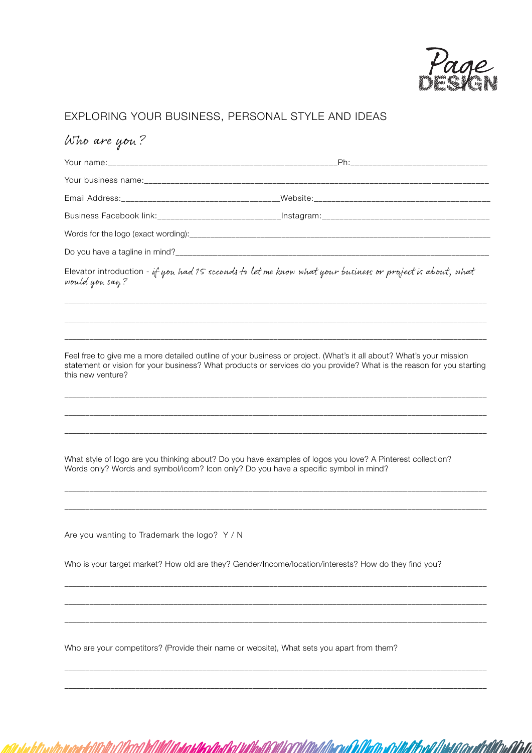

A*Qoo dhilili*ina Aba

#### EXPLORING YOUR BUSINESS, PERSONAL STYLE AND IDEAS

## Who are you?

| Business Facebook link: ________________________________ |  |
|----------------------------------------------------------|--|
|                                                          |  |
|                                                          |  |

Elevator introduction - if you had 15 seconds to let me know what your business or project is about, what would you say?

\_\_\_\_\_\_\_\_\_\_\_\_\_\_\_\_\_\_\_\_\_\_\_\_\_\_\_\_\_\_\_\_\_\_\_\_\_\_\_\_\_\_\_\_\_\_\_\_\_\_\_\_\_\_\_\_\_\_\_\_\_\_\_\_\_\_\_\_\_\_\_\_\_\_\_\_\_\_\_\_\_\_\_\_\_\_\_\_\_\_\_\_\_\_\_\_\_\_\_\_\_ \_\_\_\_\_\_\_\_\_\_\_\_\_\_\_\_\_\_\_\_\_\_\_\_\_\_\_\_\_\_\_\_\_\_\_\_\_\_\_\_\_\_\_\_\_\_\_\_\_\_\_\_\_\_\_\_\_\_\_\_\_\_\_\_\_\_\_\_\_\_\_\_\_\_\_\_\_\_\_\_\_\_\_\_\_\_\_\_\_\_\_\_\_\_\_\_\_\_\_\_\_ \_\_\_\_\_\_\_\_\_\_\_\_\_\_\_\_\_\_\_\_\_\_\_\_\_\_\_\_\_\_\_\_\_\_\_\_\_\_\_\_\_\_\_\_\_\_\_\_\_\_\_\_\_\_\_\_\_\_\_\_\_\_\_\_\_\_\_\_\_\_\_\_\_\_\_\_\_\_\_\_\_\_\_\_\_\_\_\_\_\_\_\_\_\_\_\_\_\_\_\_\_

Feel free to give me a more detailed outline of your business or project. (What's it all about? What's your mission statement or vision for your business? What products or services do you provide? What is the reason for you starting this new venture?

\_\_\_\_\_\_\_\_\_\_\_\_\_\_\_\_\_\_\_\_\_\_\_\_\_\_\_\_\_\_\_\_\_\_\_\_\_\_\_\_\_\_\_\_\_\_\_\_\_\_\_\_\_\_\_\_\_\_\_\_\_\_\_\_\_\_\_\_\_\_\_\_\_\_\_\_\_\_\_\_\_\_\_\_\_\_\_\_\_\_\_\_\_\_\_\_\_\_\_\_\_ \_\_\_\_\_\_\_\_\_\_\_\_\_\_\_\_\_\_\_\_\_\_\_\_\_\_\_\_\_\_\_\_\_\_\_\_\_\_\_\_\_\_\_\_\_\_\_\_\_\_\_\_\_\_\_\_\_\_\_\_\_\_\_\_\_\_\_\_\_\_\_\_\_\_\_\_\_\_\_\_\_\_\_\_\_\_\_\_\_\_\_\_\_\_\_\_\_\_\_\_\_ \_\_\_\_\_\_\_\_\_\_\_\_\_\_\_\_\_\_\_\_\_\_\_\_\_\_\_\_\_\_\_\_\_\_\_\_\_\_\_\_\_\_\_\_\_\_\_\_\_\_\_\_\_\_\_\_\_\_\_\_\_\_\_\_\_\_\_\_\_\_\_\_\_\_\_\_\_\_\_\_\_\_\_\_\_\_\_\_\_\_\_\_\_\_\_\_\_\_\_\_\_

\_\_\_\_\_\_\_\_\_\_\_\_\_\_\_\_\_\_\_\_\_\_\_\_\_\_\_\_\_\_\_\_\_\_\_\_\_\_\_\_\_\_\_\_\_\_\_\_\_\_\_\_\_\_\_\_\_\_\_\_\_\_\_\_\_\_\_\_\_\_\_\_\_\_\_\_\_\_\_\_\_\_\_\_\_\_\_\_\_\_\_\_\_\_\_\_\_\_\_\_\_ \_\_\_\_\_\_\_\_\_\_\_\_\_\_\_\_\_\_\_\_\_\_\_\_\_\_\_\_\_\_\_\_\_\_\_\_\_\_\_\_\_\_\_\_\_\_\_\_\_\_\_\_\_\_\_\_\_\_\_\_\_\_\_\_\_\_\_\_\_\_\_\_\_\_\_\_\_\_\_\_\_\_\_\_\_\_\_\_\_\_\_\_\_\_\_\_\_\_\_\_\_

\_\_\_\_\_\_\_\_\_\_\_\_\_\_\_\_\_\_\_\_\_\_\_\_\_\_\_\_\_\_\_\_\_\_\_\_\_\_\_\_\_\_\_\_\_\_\_\_\_\_\_\_\_\_\_\_\_\_\_\_\_\_\_\_\_\_\_\_\_\_\_\_\_\_\_\_\_\_\_\_\_\_\_\_\_\_\_\_\_\_\_\_\_\_\_\_\_\_\_\_\_ \_\_\_\_\_\_\_\_\_\_\_\_\_\_\_\_\_\_\_\_\_\_\_\_\_\_\_\_\_\_\_\_\_\_\_\_\_\_\_\_\_\_\_\_\_\_\_\_\_\_\_\_\_\_\_\_\_\_\_\_\_\_\_\_\_\_\_\_\_\_\_\_\_\_\_\_\_\_\_\_\_\_\_\_\_\_\_\_\_\_\_\_\_\_\_\_\_\_\_\_\_ \_\_\_\_\_\_\_\_\_\_\_\_\_\_\_\_\_\_\_\_\_\_\_\_\_\_\_\_\_\_\_\_\_\_\_\_\_\_\_\_\_\_\_\_\_\_\_\_\_\_\_\_\_\_\_\_\_\_\_\_\_\_\_\_\_\_\_\_\_\_\_\_\_\_\_\_\_\_\_\_\_\_\_\_\_\_\_\_\_\_\_\_\_\_\_\_\_\_\_\_\_

\_\_\_\_\_\_\_\_\_\_\_\_\_\_\_\_\_\_\_\_\_\_\_\_\_\_\_\_\_\_\_\_\_\_\_\_\_\_\_\_\_\_\_\_\_\_\_\_\_\_\_\_\_\_\_\_\_\_\_\_\_\_\_\_\_\_\_\_\_\_\_\_\_\_\_\_\_\_\_\_\_\_\_\_\_\_\_\_\_\_\_\_\_\_\_\_\_\_\_\_\_ \_\_\_\_\_\_\_\_\_\_\_\_\_\_\_\_\_\_\_\_\_\_\_\_\_\_\_\_\_\_\_\_\_\_\_\_\_\_\_\_\_\_\_\_\_\_\_\_\_\_\_\_\_\_\_\_\_\_\_\_\_\_\_\_\_\_\_\_\_\_\_\_\_\_\_\_\_\_\_\_\_\_\_\_\_\_\_\_\_\_\_\_\_\_\_\_\_\_\_\_\_

What style of logo are you thinking about? Do you have examples of logos you love? A Pinterest collection? Words only? Words and symbol/icom? Icon only? Do you have a specific symbol in mind?

Are you wanting to Trademark the logo? Y / N

Who is your target market? How old are they? Gender/Income/location/interests? How do they find you?

Who are your competitors? (Provide their name or website), What sets you apart from them?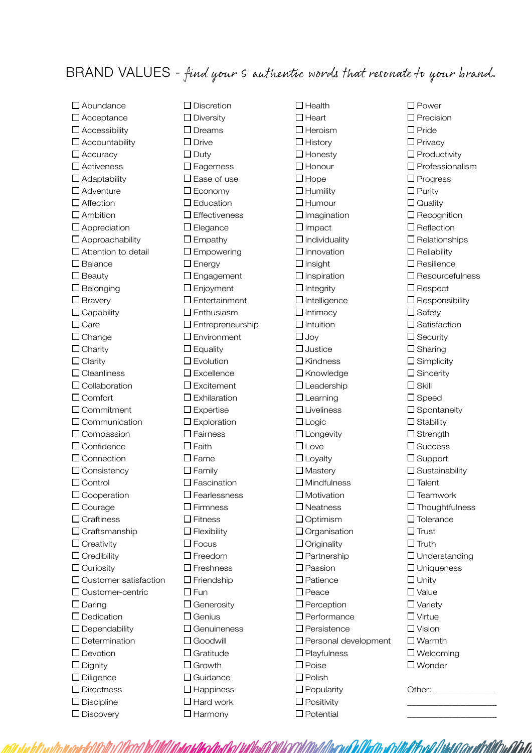## BRAND VALUES - find your 5 authentic words that resonate to your brand.

□ Abundance □ Acceptance  $\Box$  Accessibility □ Accountability □ Accuracy □ Activeness  $\Box$  Adaptability □ Adventure  $\Box$  Affection  $\square$  Ambition □ Appreciation Approachability □ Attention to detail  $\square$  Balance  $\square$  Beauty  $\square$  Belonging  $\Box$  Bravery  $\Box$  Capability  $\Box$  Care  $\Box$  Change  $\Box$  Charity  $\Box$  Clarity  $\square$  Cleanliness □ Collaboration □ Comfort Commitment □ Communication □ Compassion □ Confidence □ Connection □ Consistency □ Control □ Cooperation □ Courage □ Craftiness  $\Box$  Craftsmanship  $\Box$  Creativity  $\Box$  Credibility □ Curiosity □ Customer satisfaction □ Customer-centric  $\square$  Daring □ Dedication  $\square$  Dependability D Determination □ Devotion  $\square$  Dignity  $\square$  Diligence □ Directness  $\square$  Discipline □ Discovery

 $\square$  Discretion  $\square$  Diversity □ Dreams □ Drive  $\square$  Duty □ Eagerness  $\square$  Ease of use Economy **E**ducation □ Effectiveness □ Elegance  $\square$  Empathy □ Empowering □ Energy □ Engagement □ Enjoyment Entertainment □ Enthusiasm Entrepreneurship □ Environment  $\square$  Equality  $\square$  Evolution  $\square$  Excellence □ Excitement  $\square$  Exhilaration  $\square$  Expertise  $\square$  Exploration □ Fairness  $\Box$  Faith  $\square$  Fame  $\Box$  Family  $\square$  Fascination □ Fearlessness  $\square$  Firmness  $\square$  Fitness  $\Box$  Flexibility  $\square$  Focus Freedom  $\square$  Freshness  $\Box$  Friendship  $\square$  Fun □ Generosity □ Genius □ Genuineness Goodwill Gratitude □ Growth □ Guidance  $\Box$  Happiness  $\Box$  Hard work

 $\Box$  Harmony

da telito dhal tol Wilhaldk

 $\Box$  Health  $\Box$  Heart  $\square$  Heroism  $\Box$  History  $\square$  Honesty  $\Box$  Honour  $\Box$  Hope  $\Box$  Humility  $\Box$ Humour  $\square$  Imagination  $\square$  Impact  $\Box$  Individuality  $\Box$  Innovation  $\Box$  Insight  $\square$  Inspiration  $\Box$  Integrity  $\Box$  Intelligence  $\Box$  Intimacy  $\Box$  Intuition  $\square$  Joy  $\Box$  Justice □ Kindness  $\square$  Knowledge □ Leadership  $\Box$  Learning □ Liveliness  $\Box$  Logic □ Longevity  $\square$  Love  $\Box$  Lovalty  $\square$  Masterv  $\square$  Mindfulness  $\square$  Motivation □ Neatness □ Optimism □ Organisation  $\Box$  Originality  $\square$  Partnership  $\square$  Passion □ Patience  $\square$  Peace  $\square$  Perception  $\square$  Performance  $\square$  Persistence Personal development  $\square$  Playfulness  $\square$  Poise  $\square$  Polish  $\square$  Popularity  $\square$  Positivity  $\square$  Potential

□ Power  $\Box$  Precision  $\Box$  Pride  $\Box$  Privacy  $\square$  Productivity  $\square$  Professionalism  $\Box$  Progress  $\Box$  Purity  $\square$  Quality  $\square$  Recognition  $\square$  Reflection  $\square$  Relationships  $\square$  Reliability  $\square$  Resilience □ Resourcefulness  $\square$  Respect  $\square$  Responsibility  $\Box$  Safety  $\square$  Satisfaction  $\square$  Security  $\square$  Sharing  $\square$  Simplicity □ Sincerity  $\square$  Skill □ Speed  $\square$  Spontaneity  $\square$  Stability □ Strength  $\square$  Success  $\square$  Support  $\square$  Sustainability  $\Box$  Talent  $\square$  Teamwork  $\Box$  Thoughtfulness  $\Box$  Tolerance  $\square$  Trust  $\square$  Truth □ Understanding □ Uniqueness  $\square$  Unity  $\square$  Value □ Variety  $\Box$  Virtue  $\Box$  Vision □ Warmth □ Welcoming □ Wonder Other:

\_\_\_\_\_\_\_\_\_\_\_\_\_\_\_\_\_\_\_\_ \_\_\_\_\_\_\_\_\_\_\_\_\_\_\_\_\_\_\_\_

<u>Wittor Millialdibarun In Martin sertilitak besal dibasti circuli bildik adalah i</u>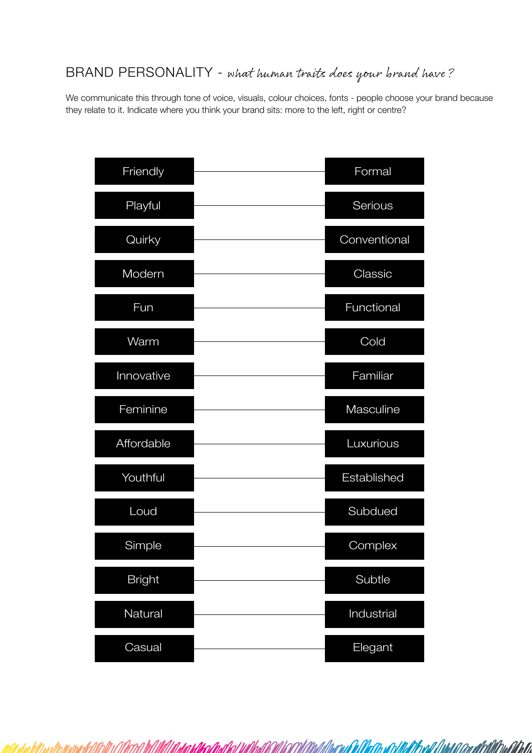## BRAND PERSONALITY - what human traits does your brand have?

We communicate this through tone of voice, visuals, colour choices, fonts - people choose your brand because they relate to it. Indicate where you think your brand sits: more to the left, right or centre?

| Friendly      | Formal       |
|---------------|--------------|
| Playful       | Serious      |
| Quirky        | Conventional |
| Modern        | Classic      |
| Fun           | Functional   |
| Warm          | Cold         |
| Innovative    | Familiar     |
| Feminine      | Masculine    |
| Affordable    | Luxurious    |
| Youthful      | Established  |
| Loud          | Subdued      |
| Simple        | Complex      |
| <b>Bright</b> | Subtle       |
| Natural       | Industrial   |
| Casual        | Elegant      |

ol il dade a conditabilità della cola di colora di colora di colora di colora di colora di colora di colora di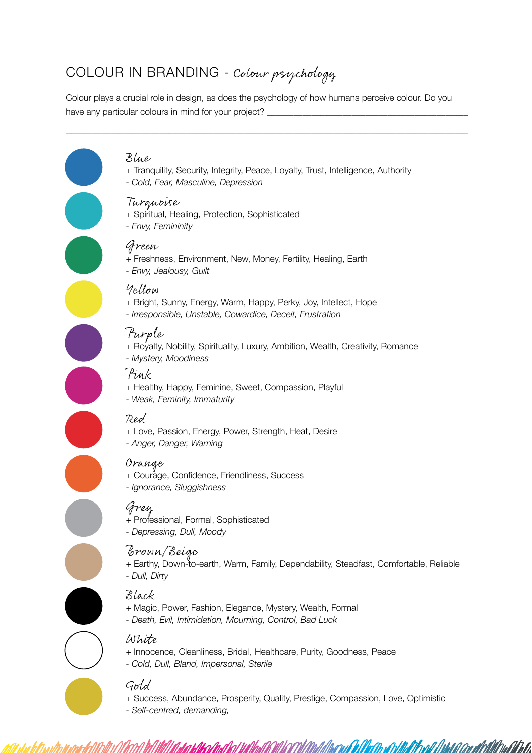# COLOUR IN BRANDING - Colour psychology

Colour plays a crucial role in design, as does the psychology of how humans perceive colour. Do you have any particular colours in mind for your project?

#### Blue

+ Tranquility, Security, Integrity, Peace, Loyalty, Trust, Intelligence, Authority

 $\_$  . The contribution of the contribution of the contribution of the contribution of the contribution of the contribution of the contribution of the contribution of the contribution of the contribution of the contributio

*- Cold, Fear, Masculine, Depression*

#### Turquoise

- + Spiritual, Healing, Protection, Sophisticated
- *Envy, Femininity*

#### Green

- + Freshness, Environment, New, Money, Fertility, Healing, Earth
- *Envy, Jealousy, Guilt*

#### Yellow

- + Bright, Sunny, Energy, Warm, Happy, Perky, Joy, Intellect, Hope
- *Irresponsible, Unstable, Cowardice, Deceit, Frustration*

### Purple

- + Royalty, Nobility, Spirituality, Luxury, Ambition, Wealth, Creativity, Romance
- *Mystery, Moodiness*

#### Pink

- + Healthy, Happy, Feminine, Sweet, Compassion, Playful
- *Weak, Feminity, Immaturity*

#### Red

- + Love, Passion, Energy, Power, Strength, Heat, Desire
- *Anger, Danger, Warning*

#### Orange

- + Courage, Confidence, Friendliness, Success
- *Ignorance, Sluggishness*

## Grey

- + Professional, Formal, Sophisticated
- *Depressing, Dull, Moody*

#### Brown/Beige

- + Earthy, Down-to-earth, Warm, Family, Dependability, Steadfast, Comfortable, Reliable
- *Dull, Dirty*

### Black

- + Magic, Power, Fashion, Elegance, Mystery, Wealth, Formal
- *Death, Evil, Intimidation, Mourning, Control, Bad Luck*

#### White

- + Innocence, Cleanliness, Bridal, Healthcare, Purity, Goodness, Peace
- *Cold, Dull, Bland, Impersonal, Sterile*

## Gold

+ Success, Abundance, Prosperity, Quality, Prestige, Compassion, Love, Optimistic

AK vali il htal 61 con uli Aliti Anal de Ta

*- Self-centred, demanding,*